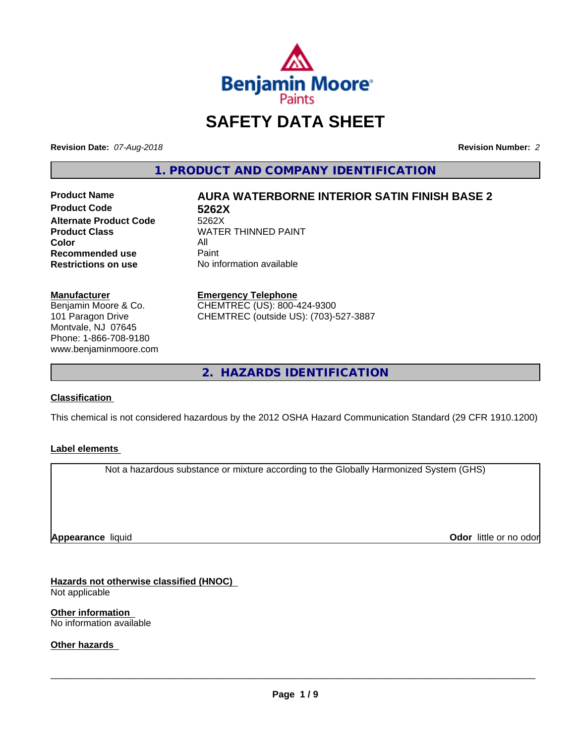

# **SAFETY DATA SHEET**

**Revision Date:** *07-Aug-2018* **Revision Number:** *2*

**1. PRODUCT AND COMPANY IDENTIFICATION**

**Product Code 5262X Alternate Product Code**<br>Product Class **Color** All All<br>**Recommended use** Paint **Recommended use**<br>Restrictions on use

# **Product Name AURA WATERBORNE INTERIOR SATIN FINISH BASE 2**

**WATER THINNED PAINT No information available** 

**Manufacturer** Benjamin Moore & Co. 101 Paragon Drive Montvale, NJ 07645 Phone: 1-866-708-9180 www.benjaminmoore.com

#### **Emergency Telephone**

CHEMTREC (US): 800-424-9300 CHEMTREC (outside US): (703)-527-3887

**2. HAZARDS IDENTIFICATION**

#### **Classification**

This chemical is not considered hazardous by the 2012 OSHA Hazard Communication Standard (29 CFR 1910.1200)

#### **Label elements**

Not a hazardous substance or mixture according to the Globally Harmonized System (GHS)

**Appearance** liquid

**Odor** little or no odor

**Hazards not otherwise classified (HNOC)** Not applicable

**Other information** No information available

**Other hazards**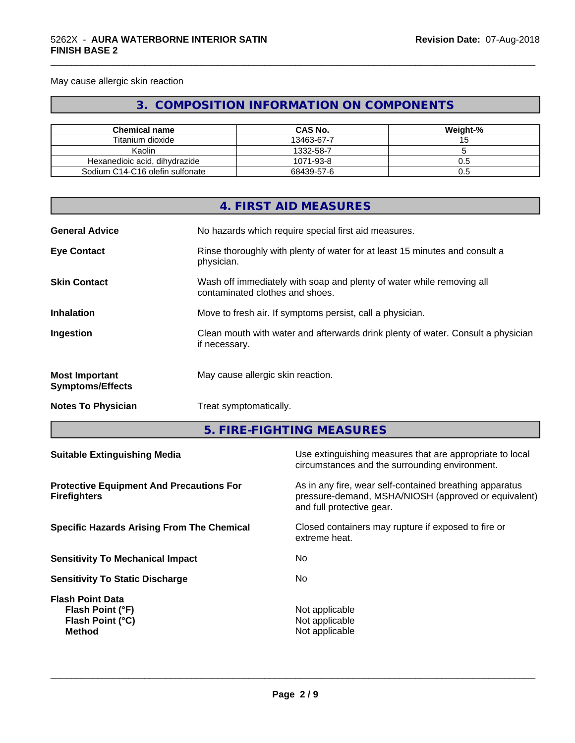May cause allergic skin reaction

# **3. COMPOSITION INFORMATION ON COMPONENTS**

\_\_\_\_\_\_\_\_\_\_\_\_\_\_\_\_\_\_\_\_\_\_\_\_\_\_\_\_\_\_\_\_\_\_\_\_\_\_\_\_\_\_\_\_\_\_\_\_\_\_\_\_\_\_\_\_\_\_\_\_\_\_\_\_\_\_\_\_\_\_\_\_\_\_\_\_\_\_\_\_\_\_\_\_\_\_\_\_\_\_\_\_\_

| <b>Chemical name</b>            | CAS No.    | Weight-% |
|---------------------------------|------------|----------|
| Titanium dioxide                | 13463-67-7 |          |
| Kaolin                          | 1332-58-7  |          |
| Hexanedioic acid, dihydrazide   | 1071-93-8  | U.S      |
| Sodium C14-C16 olefin sulfonate | 68439-57-6 | U.5      |

|                                                  |               | 4. FIRST AID MEASURES                                                                                      |  |
|--------------------------------------------------|---------------|------------------------------------------------------------------------------------------------------------|--|
| <b>General Advice</b>                            |               | No hazards which require special first aid measures.                                                       |  |
| <b>Eye Contact</b>                               | physician.    | Rinse thoroughly with plenty of water for at least 15 minutes and consult a                                |  |
| <b>Skin Contact</b>                              |               | Wash off immediately with soap and plenty of water while removing all<br>contaminated clothes and shoes.   |  |
| <b>Inhalation</b>                                |               | Move to fresh air. If symptoms persist, call a physician.                                                  |  |
| Ingestion                                        | if necessary. | Clean mouth with water and afterwards drink plenty of water. Consult a physician                           |  |
| <b>Most Important</b><br><b>Symptoms/Effects</b> |               | May cause allergic skin reaction.                                                                          |  |
| <b>Notes To Physician</b>                        |               | Treat symptomatically.                                                                                     |  |
|                                                  |               | 5. FIRE-FIGHTING MEASURES                                                                                  |  |
| <b>Suitable Extinguishing Media</b>              |               | Use extinguishing measures that are appropriate to local<br>circumstances and the surrounding environment. |  |
| <b>Protective Equipment And Precautions For</b>  |               | As in any fire, wear self-contained breathing apparatus                                                    |  |

**Protective Equipment And Precautions For Firefighters**

**Specific Hazards Arising From The Chemical Closed containers may rupture if exposed to fire or** 

**Sensitivity To Mechanical Impact** No

**Sensitivity To Static Discharge** No

**Flash Point Data Flash Point (°F)**<br> **Flash Point (°C)**<br> **Flash Point (°C)**<br> **C Flash Point (°C)**<br>Method

pressure-demand, MSHA/NIOSH (approved or equivalent) and full protective gear.

extreme heat.

**Not applicable**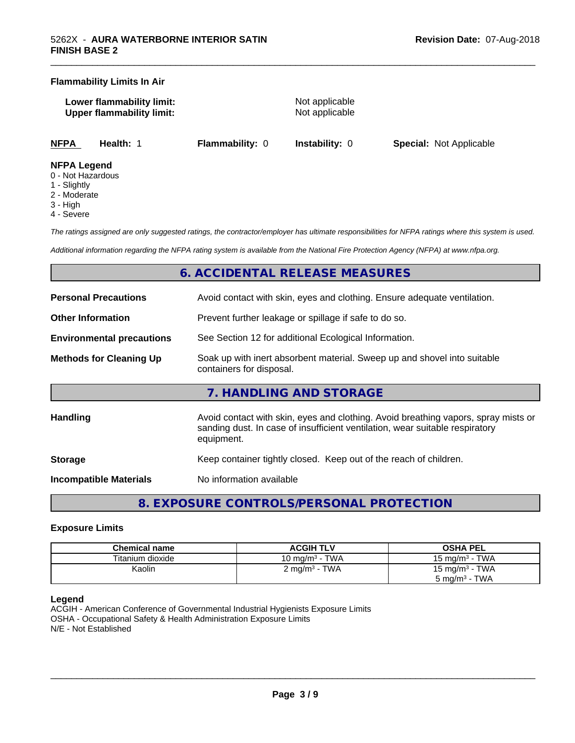#### **Flammability Limits In Air**

**Lower flammability limit:** Not applicable **Upper flammability limit:** Not applicable

\_\_\_\_\_\_\_\_\_\_\_\_\_\_\_\_\_\_\_\_\_\_\_\_\_\_\_\_\_\_\_\_\_\_\_\_\_\_\_\_\_\_\_\_\_\_\_\_\_\_\_\_\_\_\_\_\_\_\_\_\_\_\_\_\_\_\_\_\_\_\_\_\_\_\_\_\_\_\_\_\_\_\_\_\_\_\_\_\_\_\_\_\_

**NFPA Health:** 1 **Flammability:** 0 **Instability:** 0 **Special:** Not Applicable

#### **NFPA Legend**

- 0 Not Hazardous
- 1 Slightly
- 2 Moderate
- 3 High
- 4 Severe

*The ratings assigned are only suggested ratings, the contractor/employer has ultimate responsibilities for NFPA ratings where this system is used.*

*Additional information regarding the NFPA rating system is available from the National Fire Protection Agency (NFPA) at www.nfpa.org.*

# **6. ACCIDENTAL RELEASE MEASURES**

| <b>Personal Precautions</b>      | Avoid contact with skin, eyes and clothing. Ensure adequate ventilation.                                                                                                         |
|----------------------------------|----------------------------------------------------------------------------------------------------------------------------------------------------------------------------------|
| <b>Other Information</b>         | Prevent further leakage or spillage if safe to do so.                                                                                                                            |
| <b>Environmental precautions</b> | See Section 12 for additional Ecological Information.                                                                                                                            |
| <b>Methods for Cleaning Up</b>   | Soak up with inert absorbent material. Sweep up and shovel into suitable<br>containers for disposal.                                                                             |
|                                  | 7. HANDLING AND STORAGE                                                                                                                                                          |
| <b>Handling</b>                  | Avoid contact with skin, eyes and clothing. Avoid breathing vapors, spray mists or<br>sanding dust. In case of insufficient ventilation, wear suitable respiratory<br>equipment. |
| <b>Storage</b>                   | Keep container tightly closed. Keep out of the reach of children.                                                                                                                |
| <b>Incompatible Materials</b>    | No information available                                                                                                                                                         |

**8. EXPOSURE CONTROLS/PERSONAL PROTECTION**

#### **Exposure Limits**

| Chemical name    | <b>ACGIH TLV</b>                | <b>OSHA PEL</b>                 |
|------------------|---------------------------------|---------------------------------|
| Titanium dioxide | · TWA<br>10 mg/m <sup>3</sup> - | <b>TWA</b><br>15 mg/m $3 \cdot$ |
| Kaolin           | $2 \text{ mg/m}^3$ - TWA        | 15 mg/m $3$ - TWA               |
|                  |                                 | TWA<br>5 mg/m <sup>3</sup> -    |

#### **Legend**

ACGIH - American Conference of Governmental Industrial Hygienists Exposure Limits OSHA - Occupational Safety & Health Administration Exposure Limits N/E - Not Established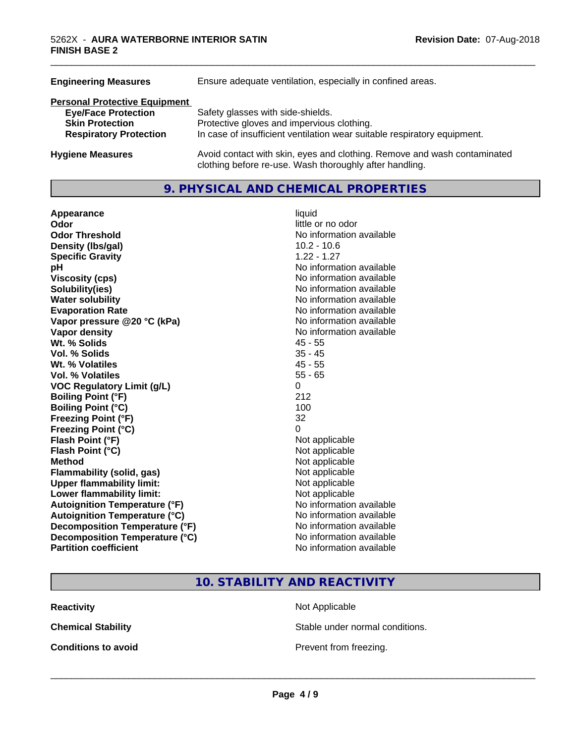| Ensure adequate ventilation, especially in confined areas.                                                                          |  |  |
|-------------------------------------------------------------------------------------------------------------------------------------|--|--|
|                                                                                                                                     |  |  |
| Safety glasses with side-shields.                                                                                                   |  |  |
| Protective gloves and impervious clothing.                                                                                          |  |  |
| In case of insufficient ventilation wear suitable respiratory equipment.                                                            |  |  |
| Avoid contact with skin, eyes and clothing. Remove and wash contaminated<br>clothing before re-use. Wash thoroughly after handling. |  |  |
|                                                                                                                                     |  |  |

### **9. PHYSICAL AND CHEMICAL PROPERTIES**

| Appearance                           | liquid                   |
|--------------------------------------|--------------------------|
| Odor                                 | little or no odor        |
| <b>Odor Threshold</b>                | No information available |
| Density (Ibs/gal)                    | $10.2 - 10.6$            |
| <b>Specific Gravity</b>              | $1.22 - 1.27$            |
| pH                                   | No information available |
| <b>Viscosity (cps)</b>               | No information available |
| Solubility(ies)                      | No information available |
| <b>Water solubility</b>              | No information available |
| <b>Evaporation Rate</b>              | No information available |
| Vapor pressure @20 °C (kPa)          | No information available |
| <b>Vapor density</b>                 | No information available |
| Wt. % Solids                         | $45 - 55$                |
| Vol. % Solids                        | $35 - 45$                |
| Wt. % Volatiles                      | $45 - 55$                |
| Vol. % Volatiles                     | $55 - 65$                |
| <b>VOC Regulatory Limit (g/L)</b>    | 0                        |
| <b>Boiling Point (°F)</b>            | 212                      |
| <b>Boiling Point (°C)</b>            | 100                      |
| <b>Freezing Point (°F)</b>           | 32                       |
| <b>Freezing Point (°C)</b>           | 0                        |
| Flash Point (°F)                     | Not applicable           |
| Flash Point (°C)                     | Not applicable           |
| <b>Method</b>                        | Not applicable           |
| <b>Flammability (solid, gas)</b>     | Not applicable           |
| <b>Upper flammability limit:</b>     | Not applicable           |
| Lower flammability limit:            | Not applicable           |
| <b>Autoignition Temperature (°F)</b> | No information available |
| <b>Autoignition Temperature (°C)</b> | No information available |
| Decomposition Temperature (°F)       | No information available |
| Decomposition Temperature (°C)       | No information available |
| <b>Partition coefficient</b>         | No information available |

\_\_\_\_\_\_\_\_\_\_\_\_\_\_\_\_\_\_\_\_\_\_\_\_\_\_\_\_\_\_\_\_\_\_\_\_\_\_\_\_\_\_\_\_\_\_\_\_\_\_\_\_\_\_\_\_\_\_\_\_\_\_\_\_\_\_\_\_\_\_\_\_\_\_\_\_\_\_\_\_\_\_\_\_\_\_\_\_\_\_\_\_\_

# **10. STABILITY AND REACTIVITY**

**Reactivity** Not Applicable

**Chemical Stability Stable under normal conditions.** 

**Conditions to avoid Conditions to avoid Prevent from freezing.**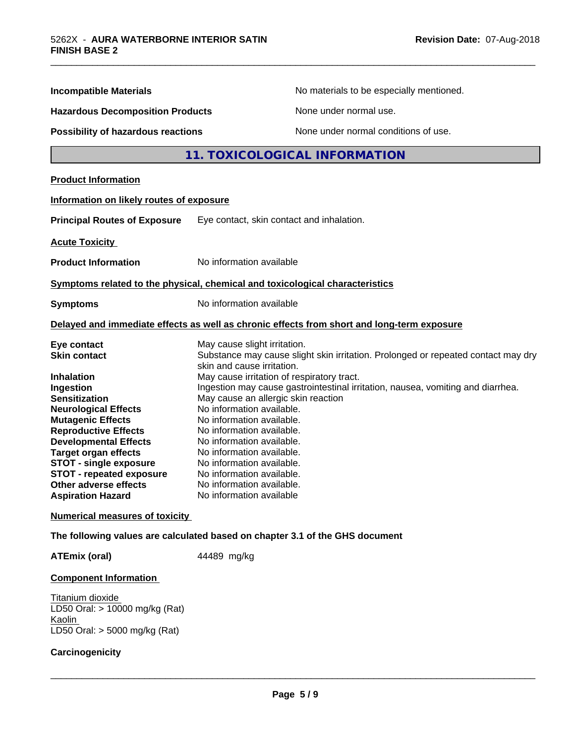| <b>Incompatible Materials</b>            | No materials to be especially mentioned.                                                                        |  |  |
|------------------------------------------|-----------------------------------------------------------------------------------------------------------------|--|--|
| <b>Hazardous Decomposition Products</b>  | None under normal use.                                                                                          |  |  |
|                                          |                                                                                                                 |  |  |
| Possibility of hazardous reactions       | None under normal conditions of use.                                                                            |  |  |
|                                          | 11. TOXICOLOGICAL INFORMATION                                                                                   |  |  |
| <b>Product Information</b>               |                                                                                                                 |  |  |
| Information on likely routes of exposure |                                                                                                                 |  |  |
| <b>Principal Routes of Exposure</b>      | Eye contact, skin contact and inhalation.                                                                       |  |  |
| <b>Acute Toxicity</b>                    |                                                                                                                 |  |  |
| <b>Product Information</b>               | No information available                                                                                        |  |  |
|                                          | Symptoms related to the physical, chemical and toxicological characteristics                                    |  |  |
| <b>Symptoms</b>                          | No information available                                                                                        |  |  |
|                                          | Delayed and immediate effects as well as chronic effects from short and long-term exposure                      |  |  |
| Eye contact                              | May cause slight irritation.                                                                                    |  |  |
| <b>Skin contact</b>                      | Substance may cause slight skin irritation. Prolonged or repeated contact may dry<br>skin and cause irritation. |  |  |
| <b>Inhalation</b>                        | May cause irritation of respiratory tract.                                                                      |  |  |
| Ingestion                                | Ingestion may cause gastrointestinal irritation, nausea, vomiting and diarrhea.                                 |  |  |
| <b>Sensitization</b>                     | May cause an allergic skin reaction                                                                             |  |  |
| <b>Neurological Effects</b>              | No information available.                                                                                       |  |  |
| <b>Mutagenic Effects</b>                 | No information available.                                                                                       |  |  |
| <b>Reproductive Effects</b>              | No information available.                                                                                       |  |  |
| <b>Developmental Effects</b>             | No information available.                                                                                       |  |  |
| <b>Target organ effects</b>              | No information available.                                                                                       |  |  |
| <b>STOT - single exposure</b>            | No information available.                                                                                       |  |  |
| <b>STOT - repeated exposure</b>          | No information available.                                                                                       |  |  |
| Other adverse effects                    | No information available.                                                                                       |  |  |
| <b>Aspiration Hazard</b>                 | No information available                                                                                        |  |  |
| <b>Numerical measures of toxicity</b>    |                                                                                                                 |  |  |
|                                          | The following values are calculated based on chapter 3.1 of the GHS document                                    |  |  |

\_\_\_\_\_\_\_\_\_\_\_\_\_\_\_\_\_\_\_\_\_\_\_\_\_\_\_\_\_\_\_\_\_\_\_\_\_\_\_\_\_\_\_\_\_\_\_\_\_\_\_\_\_\_\_\_\_\_\_\_\_\_\_\_\_\_\_\_\_\_\_\_\_\_\_\_\_\_\_\_\_\_\_\_\_\_\_\_\_\_\_\_\_

**ATEmix (oral)** 44489 mg/kg

#### **Component Information**

Titanium dioxide LD50 Oral: > 10000 mg/kg (Rat) **Kaolin** LD50 Oral: > 5000 mg/kg (Rat)

#### **Carcinogenicity**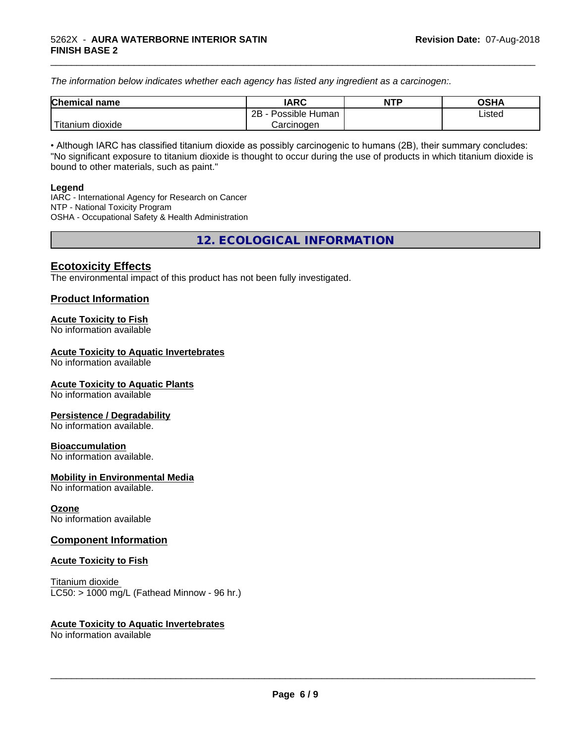*The information below indicateswhether each agency has listed any ingredient as a carcinogen:.*

| <b>Chemical</b><br>name | <b>IARC</b>                    | <b>NTP</b> | <b>OSHA</b> |
|-------------------------|--------------------------------|------------|-------------|
|                         | . .<br>2B<br>Possible<br>Human |            | Listed<br>. |
| dioxide<br>⊺itanium     | Carcinogen                     |            |             |

\_\_\_\_\_\_\_\_\_\_\_\_\_\_\_\_\_\_\_\_\_\_\_\_\_\_\_\_\_\_\_\_\_\_\_\_\_\_\_\_\_\_\_\_\_\_\_\_\_\_\_\_\_\_\_\_\_\_\_\_\_\_\_\_\_\_\_\_\_\_\_\_\_\_\_\_\_\_\_\_\_\_\_\_\_\_\_\_\_\_\_\_\_

• Although IARC has classified titanium dioxide as possibly carcinogenic to humans (2B), their summary concludes: "No significant exposure to titanium dioxide is thought to occur during the use of products in which titanium dioxide is bound to other materials, such as paint."

#### **Legend**

IARC - International Agency for Research on Cancer NTP - National Toxicity Program OSHA - Occupational Safety & Health Administration

**12. ECOLOGICAL INFORMATION**

# **Ecotoxicity Effects**

The environmental impact of this product has not been fully investigated.

### **Product Information**

#### **Acute Toxicity to Fish**

No information available

#### **Acute Toxicity to Aquatic Invertebrates**

No information available

#### **Acute Toxicity to Aquatic Plants**

No information available

#### **Persistence / Degradability**

No information available.

#### **Bioaccumulation**

No information available.

#### **Mobility in Environmental Media**

No information available.

#### **Ozone**

No information available

#### **Component Information**

#### **Acute Toxicity to Fish**

Titanium dioxide  $LC50:$  > 1000 mg/L (Fathead Minnow - 96 hr.)

#### **Acute Toxicity to Aquatic Invertebrates**

No information available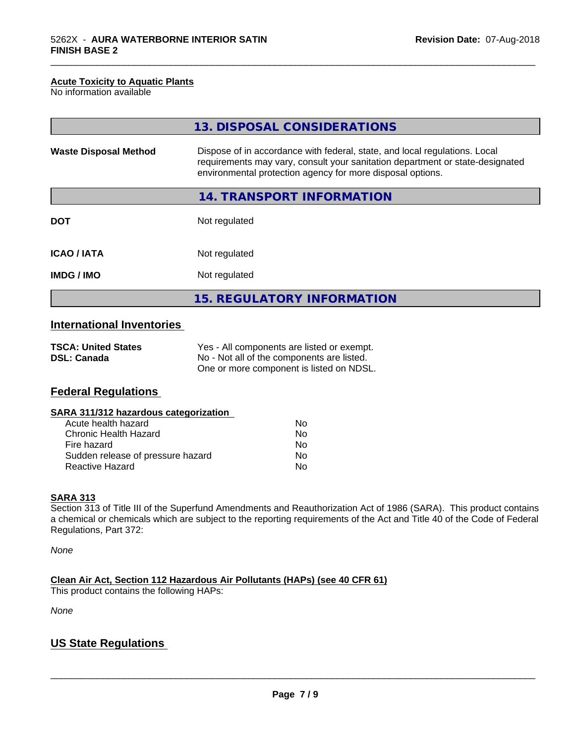#### **Acute Toxicity to Aquatic Plants**

No information available

|                              | 13. DISPOSAL CONSIDERATIONS                                                                                                                                                                                               |
|------------------------------|---------------------------------------------------------------------------------------------------------------------------------------------------------------------------------------------------------------------------|
| <b>Waste Disposal Method</b> | Dispose of in accordance with federal, state, and local regulations. Local<br>requirements may vary, consult your sanitation department or state-designated<br>environmental protection agency for more disposal options. |
|                              | 14. TRANSPORT INFORMATION                                                                                                                                                                                                 |
| <b>DOT</b>                   | Not regulated                                                                                                                                                                                                             |
| <b>ICAO/IATA</b>             | Not regulated                                                                                                                                                                                                             |
| <b>IMDG/IMO</b>              | Not regulated                                                                                                                                                                                                             |
|                              | 15. REGULATORY INFORMATION                                                                                                                                                                                                |

\_\_\_\_\_\_\_\_\_\_\_\_\_\_\_\_\_\_\_\_\_\_\_\_\_\_\_\_\_\_\_\_\_\_\_\_\_\_\_\_\_\_\_\_\_\_\_\_\_\_\_\_\_\_\_\_\_\_\_\_\_\_\_\_\_\_\_\_\_\_\_\_\_\_\_\_\_\_\_\_\_\_\_\_\_\_\_\_\_\_\_\_\_

# **International Inventories**

| <b>TSCA: United States</b> | Yes - All components are listed or exempt. |
|----------------------------|--------------------------------------------|
| <b>DSL: Canada</b>         | No - Not all of the components are listed. |
|                            | One or more component is listed on NDSL.   |

# **Federal Regulations**

| SARA 311/312 hazardous categorization |
|---------------------------------------|
|---------------------------------------|

| Acute health hazard               | Nο |
|-----------------------------------|----|
| Chronic Health Hazard             | Nο |
| Fire hazard                       | N٥ |
| Sudden release of pressure hazard | Nο |
| Reactive Hazard                   | Nο |

#### **SARA 313**

Section 313 of Title III of the Superfund Amendments and Reauthorization Act of 1986 (SARA). This product contains a chemical or chemicals which are subject to the reporting requirements of the Act and Title 40 of the Code of Federal Regulations, Part 372:

*None*

**Clean Air Act,Section 112 Hazardous Air Pollutants (HAPs) (see 40 CFR 61)**

This product contains the following HAPs:

*None*

# **US State Regulations**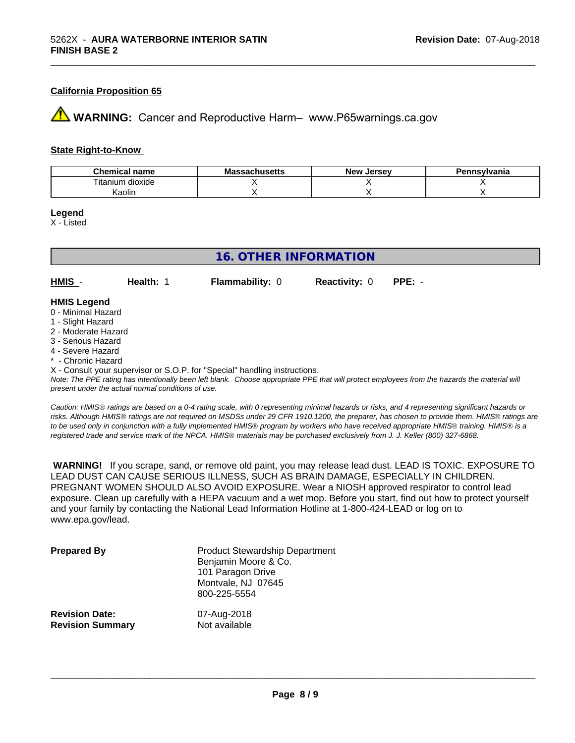#### **California Proposition 65**

**AVIMARNING:** Cancer and Reproductive Harm– www.P65warnings.ca.gov

#### **State Right-to-Know**

| hemical name<br>           | $\cdots$<br>Мi<br>ιανπυστιισ | <b>Jerse</b> v<br>— Ne™ | ≅vlvania |
|----------------------------|------------------------------|-------------------------|----------|
| ÷.<br>dioxide<br>l itanium |                              |                         |          |
| Kaolin                     |                              |                         |          |

\_\_\_\_\_\_\_\_\_\_\_\_\_\_\_\_\_\_\_\_\_\_\_\_\_\_\_\_\_\_\_\_\_\_\_\_\_\_\_\_\_\_\_\_\_\_\_\_\_\_\_\_\_\_\_\_\_\_\_\_\_\_\_\_\_\_\_\_\_\_\_\_\_\_\_\_\_\_\_\_\_\_\_\_\_\_\_\_\_\_\_\_\_

**Legend**

X - Listed

| 16. OTHER INFORMATION                                         |           |                        |                      |          |  |  |  |
|---------------------------------------------------------------|-----------|------------------------|----------------------|----------|--|--|--|
| $HMIS -$                                                      | Health: 1 | <b>Flammability: 0</b> | <b>Reactivity: 0</b> | $PPE: -$ |  |  |  |
| <b>HMIS Legend</b><br>0 - Minimal Hazard<br>1 - Slight Hazard |           |                        |                      |          |  |  |  |
| 2 - Moderate Hazard<br>3 - Serious Hazard                     |           |                        |                      |          |  |  |  |

- 4 Severe Hazard
- \* Chronic Hazard

X - Consult your supervisor or S.O.P. for "Special" handling instructions.

*Note: The PPE rating has intentionally been left blank. Choose appropriate PPE that will protect employees from the hazards the material will present under the actual normal conditions of use.*

*Caution: HMISÒ ratings are based on a 0-4 rating scale, with 0 representing minimal hazards or risks, and 4 representing significant hazards or risks. Although HMISÒ ratings are not required on MSDSs under 29 CFR 1910.1200, the preparer, has chosen to provide them. HMISÒ ratings are to be used only in conjunction with a fully implemented HMISÒ program by workers who have received appropriate HMISÒ training. HMISÒ is a registered trade and service mark of the NPCA. HMISÒ materials may be purchased exclusively from J. J. Keller (800) 327-6868.*

 **WARNING!** If you scrape, sand, or remove old paint, you may release lead dust. LEAD IS TOXIC. EXPOSURE TO LEAD DUST CAN CAUSE SERIOUS ILLNESS, SUCH AS BRAIN DAMAGE, ESPECIALLY IN CHILDREN. PREGNANT WOMEN SHOULD ALSO AVOID EXPOSURE.Wear a NIOSH approved respirator to control lead exposure. Clean up carefully with a HEPA vacuum and a wet mop. Before you start, find out how to protect yourself and your family by contacting the National Lead Information Hotline at 1-800-424-LEAD or log on to www.epa.gov/lead.

| <b>Prepared By</b>      | <b>Product Stewardship Department</b><br>Benjamin Moore & Co.<br>101 Paragon Drive<br>Montvale, NJ 07645<br>800-225-5554 |
|-------------------------|--------------------------------------------------------------------------------------------------------------------------|
| <b>Revision Date:</b>   | 07-Aug-2018                                                                                                              |
| <b>Revision Summary</b> | Not available                                                                                                            |